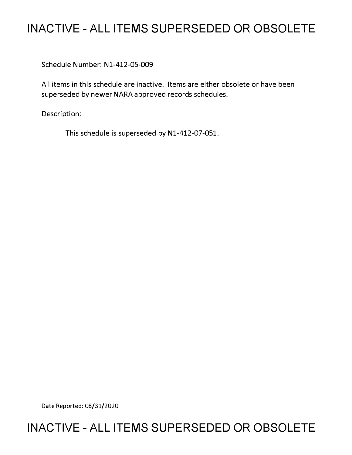# **INACTIVE - ALL ITEMS SUPERSEDED OR OBSOLETE**

Schedule Number: Nl-412-05-009

All items in this schedule are inactive. Items are either obsolete or have been superseded by newer NARA approved records schedules.

Description:

This schedule is superseded by N1-412-07-051.

Date Reported: 08/31/2020

# **INACTIVE - ALL ITEMS SUPERSEDED OR OBSOLETE**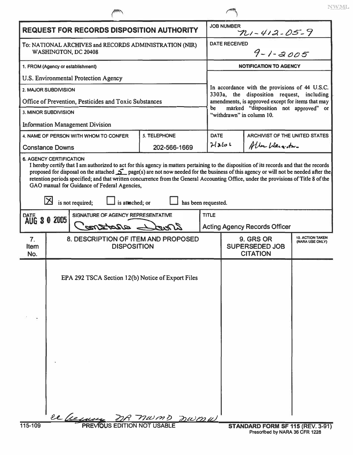| <b>REQUEST FOR RECORDS DISPOSITION AUTHORITY</b>                               |                                                                                                                                                                                                                                                                                                                                                                                                              |                     |              | <b>JOB NUMBER</b><br>$721 - 412 - 05 - 9$                                                                                                        |                                       |  |  |
|--------------------------------------------------------------------------------|--------------------------------------------------------------------------------------------------------------------------------------------------------------------------------------------------------------------------------------------------------------------------------------------------------------------------------------------------------------------------------------------------------------|---------------------|--------------|--------------------------------------------------------------------------------------------------------------------------------------------------|---------------------------------------|--|--|
| To: NATIONAL ARCHIVES and RECORDS ADMINISTRATION (NIR)<br>WASHINGTON, DC 20408 |                                                                                                                                                                                                                                                                                                                                                                                                              |                     |              | <b>DATE RECEIVED</b><br>$9 - 1 - 2005$                                                                                                           |                                       |  |  |
| 1. FROM (Agency or establishment)                                              |                                                                                                                                                                                                                                                                                                                                                                                                              |                     |              | <b>NOTIFICATION TO AGENCY</b>                                                                                                                    |                                       |  |  |
| U.S. Environmental Protection Agency                                           |                                                                                                                                                                                                                                                                                                                                                                                                              |                     |              |                                                                                                                                                  |                                       |  |  |
| 2. MAJOR SUBDIVISION                                                           |                                                                                                                                                                                                                                                                                                                                                                                                              |                     |              | In accordance with the provisions of 44 U.S.C.<br>3303a, the disposition request, including<br>amendments, is approved except for items that may |                                       |  |  |
| Office of Prevention, Pesticides and Toxic Substances                          |                                                                                                                                                                                                                                                                                                                                                                                                              |                     |              |                                                                                                                                                  |                                       |  |  |
| <b>3. MINOR SUBDIVISION</b>                                                    |                                                                                                                                                                                                                                                                                                                                                                                                              |                     |              | marked "disposition not approved" or<br>be<br>"withdrawn" in column 10.                                                                          |                                       |  |  |
| <b>Information Management Division</b>                                         |                                                                                                                                                                                                                                                                                                                                                                                                              |                     |              |                                                                                                                                                  |                                       |  |  |
|                                                                                | 4. NAME OF PERSON WITH WHOM TO CONFER                                                                                                                                                                                                                                                                                                                                                                        | <b>S. TELEPHONE</b> | <b>DATE</b>  |                                                                                                                                                  | <b>ARCHIVIST OF THE UNITED STATES</b> |  |  |
|                                                                                | <b>Constance Downs</b>                                                                                                                                                                                                                                                                                                                                                                                       | 202-566-1669        | 21266        |                                                                                                                                                  | Aller Liergister                      |  |  |
| <b>DATE</b>                                                                    | proposed for disposal on the attached $\sum$ page(s) are not now needed for the business of this agency or will not be needed after the<br>retention periods specified; and that written concurrence from the General Accounting Office, under the provisions of Title 8 of the<br>GAO manual for Guidance of Federal Agencies,<br>is not required;<br>is attached; or<br>SIGNATURE OF AGENCY REPRESENTATIVE | has been requested. | <b>TITLE</b> |                                                                                                                                                  |                                       |  |  |
| AUG 3 0 2005<br>ared entered                                                   |                                                                                                                                                                                                                                                                                                                                                                                                              |                     |              | <b>Acting Agency Records Officer</b>                                                                                                             |                                       |  |  |
| 7.<br><b>Item</b><br>No.                                                       | 8. DESCRIPTION OF ITEM AND PROPOSED<br><b>DISPOSITION</b>                                                                                                                                                                                                                                                                                                                                                    |                     |              | <b>10. ACTION TAKEN</b><br>9. GRS OR<br>(NARA USE ONLY)<br><b>SUPERSEDED JOB</b><br><b>CITATION</b>                                              |                                       |  |  |
|                                                                                | EPA 292 TSCA Section 12(b) Notice of Export Files                                                                                                                                                                                                                                                                                                                                                            |                     |              |                                                                                                                                                  |                                       |  |  |
| 115-109                                                                        | ce hermon<br><b>PREVIOUS EDITION NOT USABLE</b>                                                                                                                                                                                                                                                                                                                                                              | nwmp nwmu           |              |                                                                                                                                                  | STANDARD FORM SF 115 (REV. 3-91)      |  |  |

 $\sqrt{2}$ 

**NWML**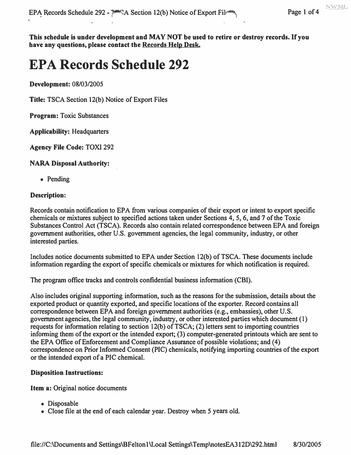**This schedule is under development and MAY NOT be used to retire or destroy records. If you have any questions, please contact the Records Help Desk.** 

# **EPA Records Schedule 292**

**Development: 08/03/2005**

**Title: TSCA Section 12(b) Notice of Export Files** 

**Program: Toxic Substances** 

**Applicability: Headquarters**

**Agency File Code: TOXI 292** 

**NARA Disposal Authority:**

**• Pending**

#### **Description:**

Records contain notification to EPA from various companies of their export or intent to export specific **chemicals or mixtures subject to specified actions taken under Sections 4, 5, 6, and 7 ofthe Toxic Substances Control Act (TSCA). Records also contain related correspondence between EPA and foreign government authorities, other U.S. government agencies, the legal community, industry, or other interested parties.**

Includes notice documents submitted to EPA under Section 12(b) of TSCA. These documents include information regarding the export of specific chemicals or mixtures for which notification is required.

**The program office tracks and controls confidential business information (CBI).**

**Also includes original supporting information, such as the reasons for the submission, details about the** exported product or quantity exported, and specific locations of the exporter. Record contains all **correspondence between EPA and foreign government authorities (e.g., embassies), other U.S. government agencies, the legal community, industry, or other interested parties which document (1)** requests for information relating to section 12(b) of TSCA; (2) letters sent to importing countries informing them of the export or the intended export; (3) computer-generated printouts which are sent to **the EPA Office ofEnforcement and Compliance Assurance ofpossible violations; and (4) correspondence on Prior Informed Consent (PIC) chemicals, notifying importing countries ofthe export or the intended export ofa PIC chemical.** 

#### **Disposition Instructions:**

**Item a: Original notice documents** 

- **Disposable**
- Close file at the end of each calendar year. Destroy when 5 years old.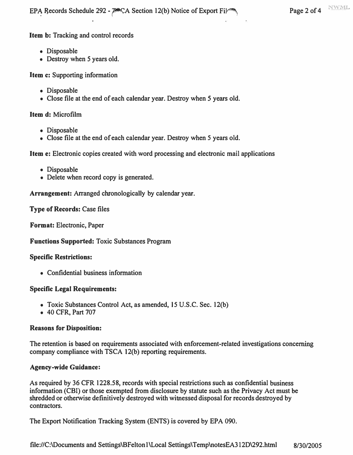**EPA Records Schedule 292 - PACA Section 12(b) Notice of Export Fil** $\rightarrow$  **Page 2 of 4** NWML

**Item b: Tracking and control records** 

- **Disposable**
- **Destroy when** *5* **years old.**

**Item c: Supporting information** 

- **Disposable**
- **Close file at the end of each calendar year. Destroy when** *5* **years old.**

**Item d: Microfilm** 

- **Disposable**
- **Close file at the end of each calendar year. Destroy when** *5* **years old.**

**Item e: Electronic copies created with word processing and electronic mail applications** 

- **Disposable**
- **Delete when record copy is generated.**

**Arrangement: Arranged chronologically by calendar year.** 

**Type of Records: Case files** 

**Format: Electronic, Paper** 

**Functions Supported: Toxic Substances Program** 

# **Specific Restrictions:**

**• Confidential business information** 

# **Specific Legal Requirements:**

- **Toxic Substances Control Act, as amended, 15 U.S.C. Sec. 12(b)**
- **40 CFR, Part 707**

#### **Reasons for Disposition:**

**The retention is based on requirements associated with enforcement-related investigations concerning company compliance with TSCA 12(b) reporting requirements.** 

# **Agency-wide Guidance:**

**As required by 36 CFR 1228.58, records with special restrictions such as confidential business information (CBI) or those exempted from disclosure by statute such as the Privacy Act must be shredded or otherwise definitively destroyed with witnessed disposal for records destroyed by contractors.** 

**The Export Notification Tracking System (ENTS) is covered by EPA 090.**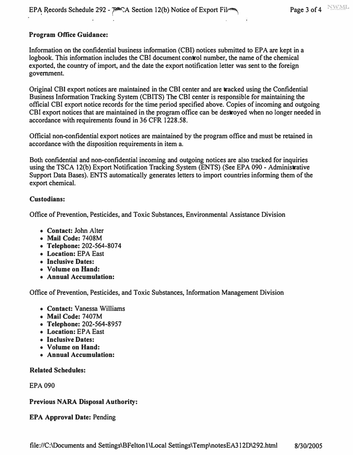# **Program Office Guidance:**

**Information on the confidential business information (CBI) notices submitted to EPA are kept in a logbook. This information includes the CBI document control number, the name of the chemical exported, the country of import, and the date the export notification letter was sent to the foreign government.** 

**Original CBI export notices are maintained in the CBI center and are tracked using the Confidential Business Information Tracking System (CBITS) The CBI center is responsible for maintaining the official CBI export notice records for the time period specified above. Copies of incoming and outgoing CBI export notices that are maintained in the program office can be destroyed when no longer needed in accordance with requirements found in 36 CFR 1228.58.** 

**Official non-confidential export notices are maintained by the program office and must be retained in accordance with the disposition requirements in item a.** 

**Both confidential and non-confidential incoming and outgoing notices are also tracked for inquiries using the TSCA 12{b) Export Notification Tracking System (ENTS) (See EPA 090 - Administrative Support Data Bases). ENTS automatically generates letters to import countries informing them of the export chemical.** 

#### **Custodians:**

**Office of Prevention, Pesticides, and Toxic Substances, Environmental Assistance Division** 

- **Contact: John Alter**
- **Mail Code: 7408M**
- **Telephone: 202-564-8074**
- **Location: EPA East**
- **Inclusive Dates:**
- **Volume on Hand:**
- **Annual Accumulation:**

**Office of Prevention, Pesticides, and Toxic Substances, Information Management Division** 

- **Contact: Vanessa Williams**
- **Mail Code: 7407M**
- **Telephone: 202-564-8957**
- **Location: EPA East**
- **Inclusive Dates:**
- **Volume on Hand:**
- **Annual Accumulation:**

#### **Related Schedules:**

**EPA 090** 

#### **Previous NARA Disposal Authority:**

**EPA Approval Date: Pending**